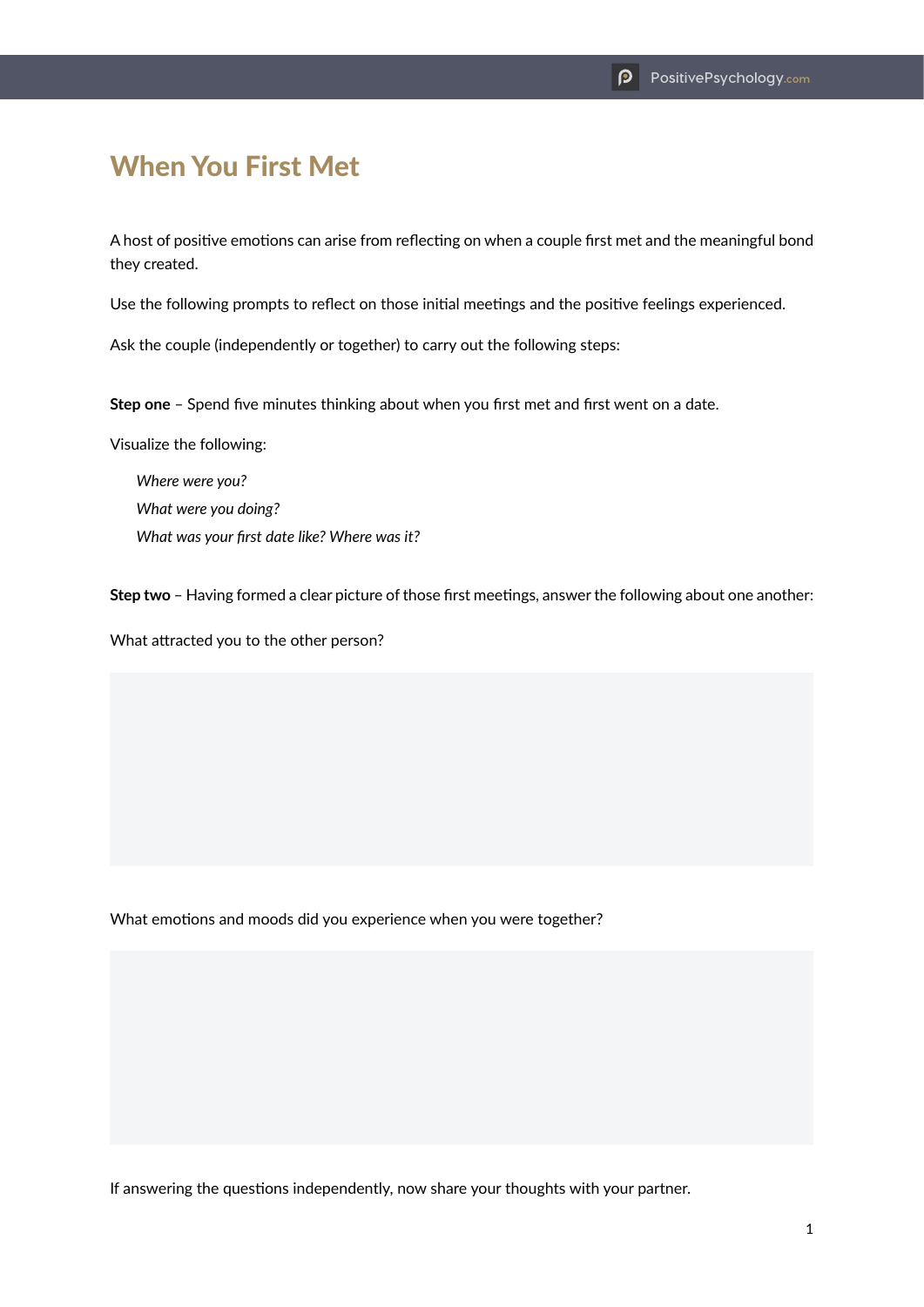## When You First Met

A host of positive emotions can arise from reflecting on when a couple first met and the meaningful bond they created.

Use the following prompts to reflect on those initial meetings and the positive feelings experienced.

Ask the couple (independently or together) to carry out the following steps:

**Step one** – Spend five minutes thinking about when you first met and first went on a date.

Visualize the following:

*Where were you? What were you doing? What was your first date like? Where was it?*

**Step two** – Having formed a clear picture of those first meetings, answer the following about one another:

What attracted you to the other person?

What emotions and moods did you experience when you were together?

If answering the questions independently, now share your thoughts with your partner.